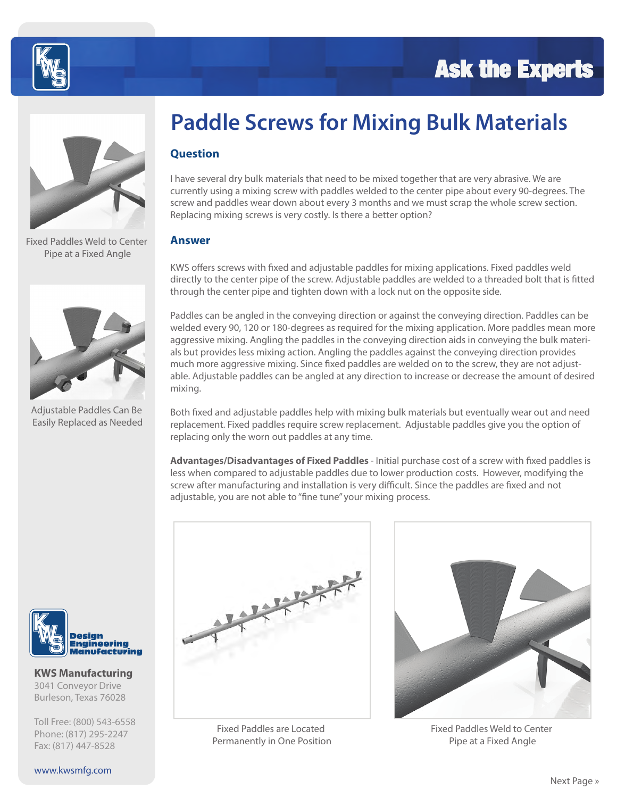### **Ask the Experts**





Fixed Paddles Weld to Center Pipe at a Fixed Angle



Adjustable Paddles Can Be Easily Replaced as Needed



**KWS Manufacturing** 3041 Conveyor Drive Burleson, Texas 76028

Toll Free: (800) 543-6558 Phone: (817) 295-2247 Fax: (817) 447-8528

## **Paddle Screws for Mixing Bulk Materials**

#### **Question**

I have several dry bulk materials that need to be mixed together that are very abrasive. We are currently using a mixing screw with paddles welded to the center pipe about every 90-degrees. The screw and paddles wear down about every 3 months and we must scrap the whole screw section. Replacing mixing screws is very costly. Is there a better option?

#### **Answer**

KWS offers screws with fixed and adjustable paddles for mixing applications. Fixed paddles weld directly to the center pipe of the screw. Adjustable paddles are welded to a threaded bolt that is fitted through the center pipe and tighten down with a lock nut on the opposite side.

Paddles can be angled in the conveying direction or against the conveying direction. Paddles can be welded every 90, 120 or 180-degrees as required for the mixing application. More paddles mean more aggressive mixing. Angling the paddles in the conveying direction aids in conveying the bulk materials but provides less mixing action. Angling the paddles against the conveying direction provides much more aggressive mixing. Since fixed paddles are welded on to the screw, they are not adjustable. Adjustable paddles can be angled at any direction to increase or decrease the amount of desired mixing.

Both fixed and adjustable paddles help with mixing bulk materials but eventually wear out and need replacement. Fixed paddles require screw replacement. Adjustable paddles give you the option of replacing only the worn out paddles at any time.

Advantages/Disadvantages of Fixed Paddles - Initial purchase cost of a screw with fixed paddles is less when compared to adjustable paddles due to lower production costs. However, modifying the screw after manufacturing and installation is very difficult. Since the paddles are fixed and not adjustable, you are not able to "fine tune" your mixing process.



Fixed Paddles are Located Permanently in One Position

Fixed Paddles Weld to Center Pipe at a Fixed Angle